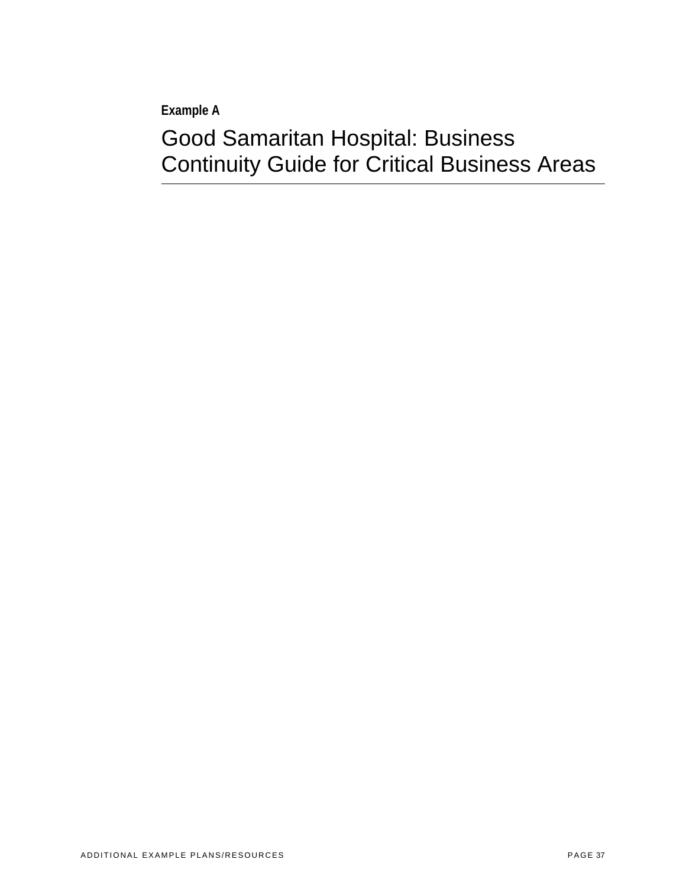**Example A** 

# Good Samaritan Hospital: Business Continuity Guide for Critical Business Areas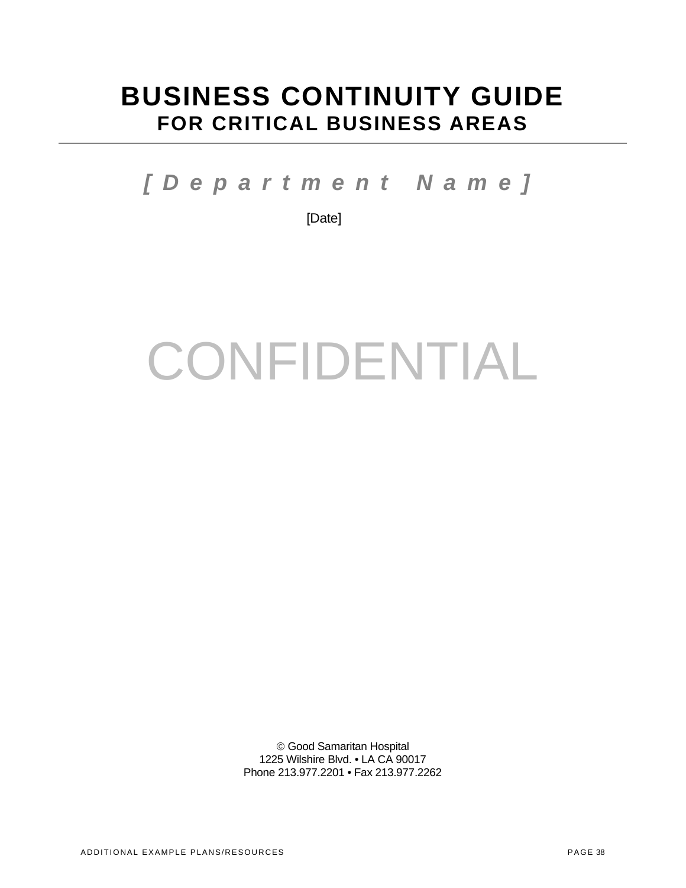# **BUSINESS CONTINUITY GUIDE FOR CRITICAL BUSINESS AREAS**

*[Department Name]* 

[Date]

# CONFIDENTIAL

 Good Samaritan Hospital 1225 Wilshire Blvd. • LA CA 90017 Phone 213.977.2201 • Fax 213.977.2262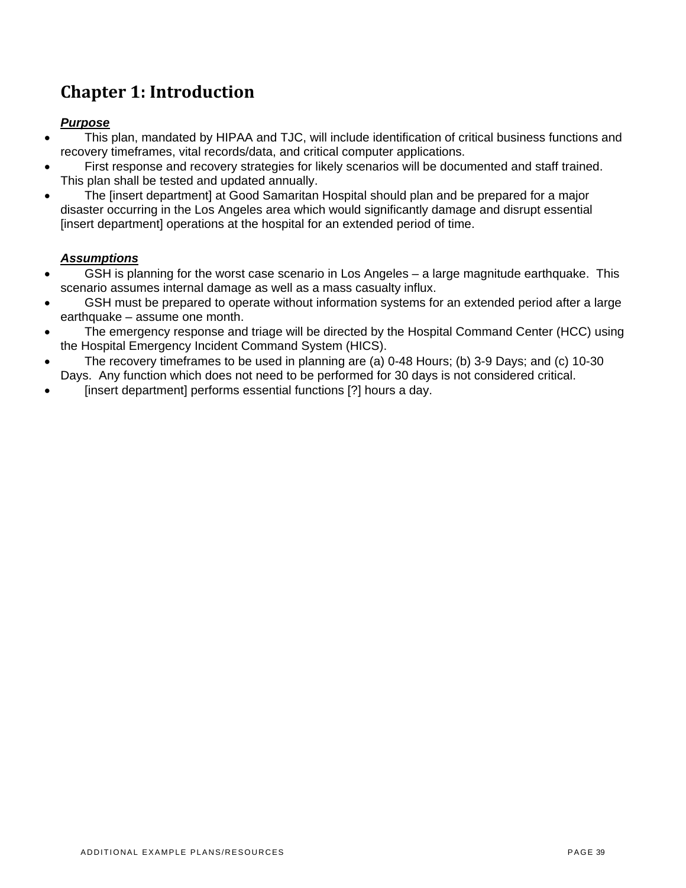# **Chapter 1: Introduction**

# *Purpose*

- This plan, mandated by HIPAA and TJC, will include identification of critical business functions and recovery timeframes, vital records/data, and critical computer applications.
- First response and recovery strategies for likely scenarios will be documented and staff trained. This plan shall be tested and updated annually.
- The [insert department] at Good Samaritan Hospital should plan and be prepared for a major disaster occurring in the Los Angeles area which would significantly damage and disrupt essential [insert department] operations at the hospital for an extended period of time.

# *Assumptions*

- GSH is planning for the worst case scenario in Los Angeles a large magnitude earthquake. This scenario assumes internal damage as well as a mass casualty influx.
- GSH must be prepared to operate without information systems for an extended period after a large earthquake – assume one month.
- The emergency response and triage will be directed by the Hospital Command Center (HCC) using the Hospital Emergency Incident Command System (HICS).
- The recovery time frames to be used in planning are (a) 0-48 Hours; (b) 3-9 Days; and (c) 10-30 Days. Any function which does not need to be performed for 30 days is not considered critical.
- Finsert department performs essential functions [?] hours a day.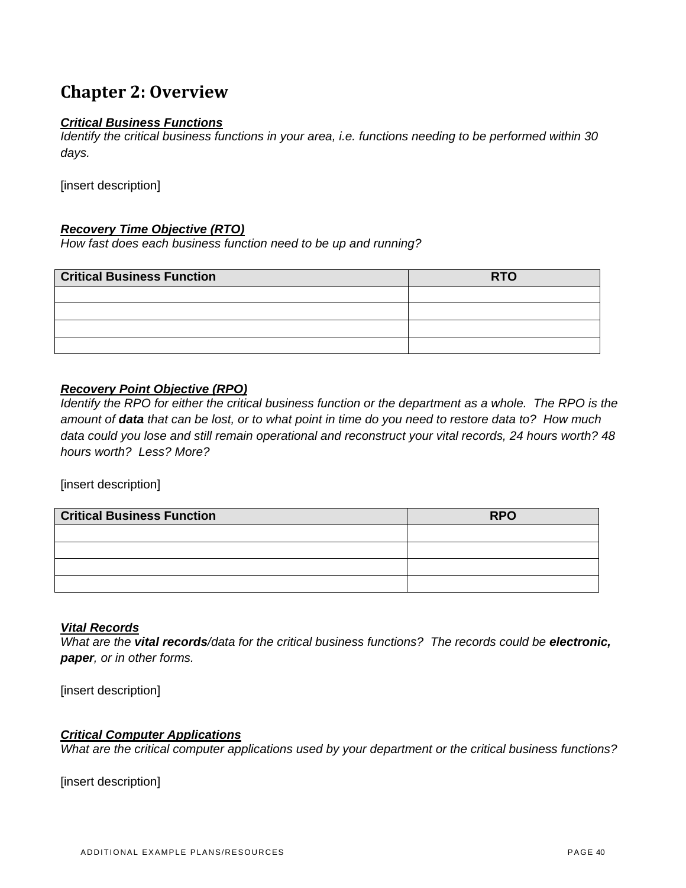# **Chapter 2: Overview**

## *Critical Business Functions*

*Identify the critical business functions in your area, i.e. functions needing to be performed within 30 days.* 

[insert description]

#### *Recovery Time Objective (RTO)*

*How fast does each business function need to be up and running?* 

| <b>Critical Business Function</b> | <b>RTO</b> |  |  |  |  |
|-----------------------------------|------------|--|--|--|--|
|                                   |            |  |  |  |  |
|                                   |            |  |  |  |  |
|                                   |            |  |  |  |  |
|                                   |            |  |  |  |  |

#### *Recovery Point Objective (RPO)*

*Identify the RPO for either the critical business function or the department as a whole. The RPO is the amount of data that can be lost, or to what point in time do you need to restore data to? How much data could you lose and still remain operational and reconstruct your vital records, 24 hours worth? 48 hours worth? Less? More?* 

[insert description]

| <b>Critical Business Function</b> | <b>RPO</b> |  |  |  |  |
|-----------------------------------|------------|--|--|--|--|
|                                   |            |  |  |  |  |
|                                   |            |  |  |  |  |
|                                   |            |  |  |  |  |
|                                   |            |  |  |  |  |

#### *Vital Records*

*What are the vital records/data for the critical business functions? The records could be electronic, paper, or in other forms.* 

[insert description]

#### *Critical Computer Applications*

*What are the critical computer applications used by your department or the critical business functions?*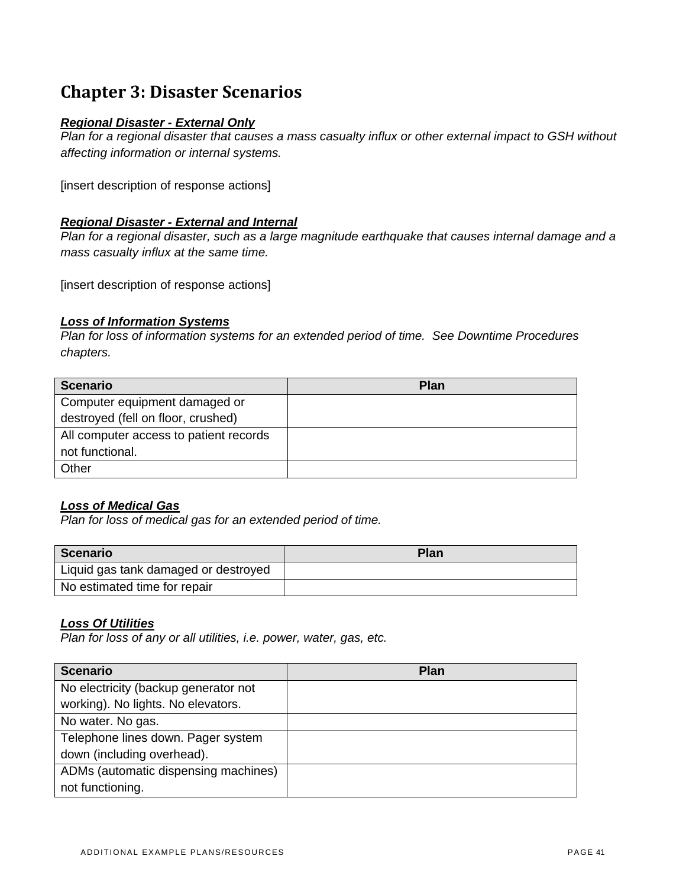# **Chapter 3: Disaster Scenarios**

#### *Regional Disaster - External Only*

*Plan for a regional disaster that causes a mass casualty influx or other external impact to GSH without affecting information or internal systems.* 

[insert description of response actions]

#### *Regional Disaster - External and Internal*

*Plan for a regional disaster, such as a large magnitude earthquake that causes internal damage and a mass casualty influx at the same time.* 

[insert description of response actions]

#### *Loss of Information Systems*

*Plan for loss of information systems for an extended period of time. See Downtime Procedures chapters.* 

| <b>Scenario</b>                        | <b>Plan</b> |
|----------------------------------------|-------------|
| Computer equipment damaged or          |             |
| destroyed (fell on floor, crushed)     |             |
| All computer access to patient records |             |
| not functional.                        |             |
| Other                                  |             |

#### *Loss of Medical Gas*

*Plan for loss of medical gas for an extended period of time.* 

| <b>Scenario</b>                      | Plan |
|--------------------------------------|------|
| Liquid gas tank damaged or destroyed |      |
| No estimated time for repair         |      |

#### *Loss Of Utilities*

*Plan for loss of any or all utilities, i.e. power, water, gas, etc.* 

| <b>Scenario</b>                      | <b>Plan</b> |
|--------------------------------------|-------------|
| No electricity (backup generator not |             |
| working). No lights. No elevators.   |             |
| No water. No gas.                    |             |
| Telephone lines down. Pager system   |             |
| down (including overhead).           |             |
| ADMs (automatic dispensing machines) |             |
| not functioning.                     |             |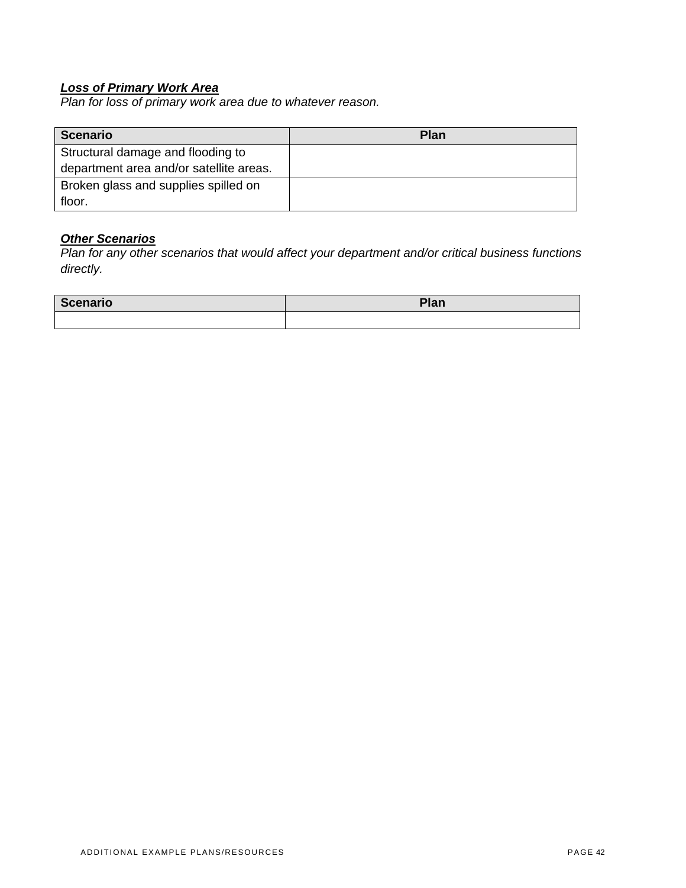#### *Loss of Primary Work Area*

*Plan for loss of primary work area due to whatever reason.* 

| <b>Scenario</b>                         | Plan |
|-----------------------------------------|------|
| Structural damage and flooding to       |      |
| department area and/or satellite areas. |      |
| Broken glass and supplies spilled on    |      |
| floor.                                  |      |

# *Other Scenarios*

*Plan for any other scenarios that would affect your department and/or critical business functions directly.* 

| Scenario | D <sub>1</sub><br>ттаг⊾ |  |  |  |  |
|----------|-------------------------|--|--|--|--|
|          |                         |  |  |  |  |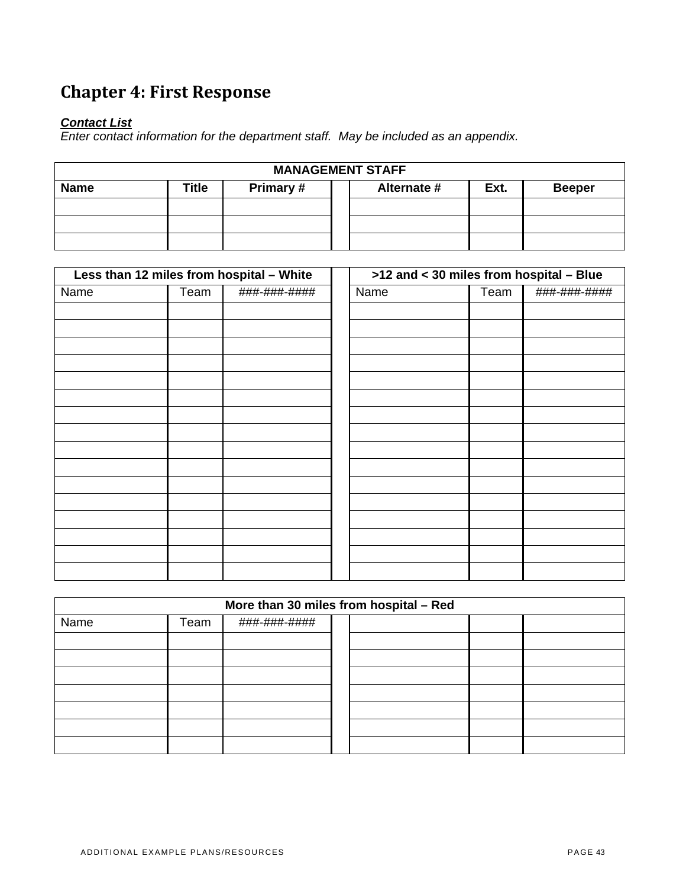# **Chapter 4: First Response**

## *Contact List*

*Enter contact information for the department staff. May be included as an appendix.* 

| <b>MANAGEMENT STAFF</b>                                                   |  |  |  |  |  |  |
|---------------------------------------------------------------------------|--|--|--|--|--|--|
| Primary #<br>Alternate #<br>Title<br><b>Name</b><br>Ext.<br><b>Beeper</b> |  |  |  |  |  |  |
|                                                                           |  |  |  |  |  |  |
|                                                                           |  |  |  |  |  |  |
|                                                                           |  |  |  |  |  |  |

| Less than 12 miles from hospital - White |      | $>12$ and $<$ 30 miles from hospital - Blue |      |  |      |              |
|------------------------------------------|------|---------------------------------------------|------|--|------|--------------|
| Name                                     | Team | ###-###-####                                | Name |  | Team | ###-###-#### |
|                                          |      |                                             |      |  |      |              |
|                                          |      |                                             |      |  |      |              |
|                                          |      |                                             |      |  |      |              |
|                                          |      |                                             |      |  |      |              |
|                                          |      |                                             |      |  |      |              |
|                                          |      |                                             |      |  |      |              |
|                                          |      |                                             |      |  |      |              |
|                                          |      |                                             |      |  |      |              |
|                                          |      |                                             |      |  |      |              |
|                                          |      |                                             |      |  |      |              |
|                                          |      |                                             |      |  |      |              |
|                                          |      |                                             |      |  |      |              |
|                                          |      |                                             |      |  |      |              |
|                                          |      |                                             |      |  |      |              |
|                                          |      |                                             |      |  |      |              |
|                                          |      |                                             |      |  |      |              |

| More than 30 miles from hospital - Red |      |              |  |  |  |  |
|----------------------------------------|------|--------------|--|--|--|--|
| Name                                   | Team | ###-###-#### |  |  |  |  |
|                                        |      |              |  |  |  |  |
|                                        |      |              |  |  |  |  |
|                                        |      |              |  |  |  |  |
|                                        |      |              |  |  |  |  |
|                                        |      |              |  |  |  |  |
|                                        |      |              |  |  |  |  |
|                                        |      |              |  |  |  |  |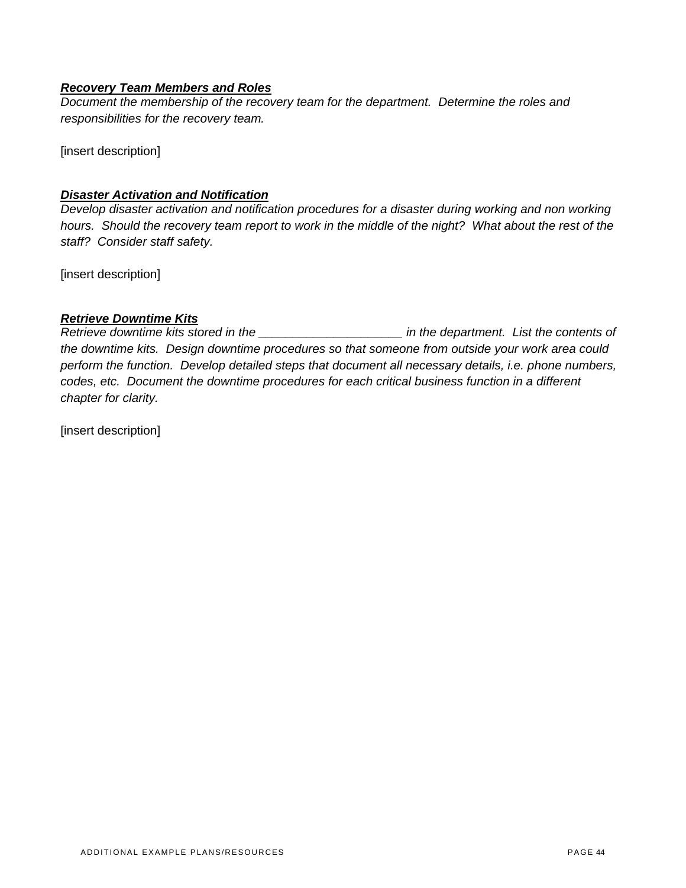#### *Recovery Team Members and Roles*

*Document the membership of the recovery team for the department. Determine the roles and responsibilities for the recovery team.* 

[insert description]

#### *Disaster Activation and Notification*

*Develop disaster activation and notification procedures for a disaster during working and non working hours. Should the recovery team report to work in the middle of the night? What about the rest of the staff? Consider staff safety.* 

[insert description]

#### *Retrieve Downtime Kits*

*Retrieve downtime kits stored in the \_\_\_\_\_\_\_\_\_\_\_\_\_\_\_\_\_\_\_\_\_ in the department. List the contents of the downtime kits. Design downtime procedures so that someone from outside your work area could perform the function. Develop detailed steps that document all necessary details, i.e. phone numbers, codes, etc. Document the downtime procedures for each critical business function in a different chapter for clarity.*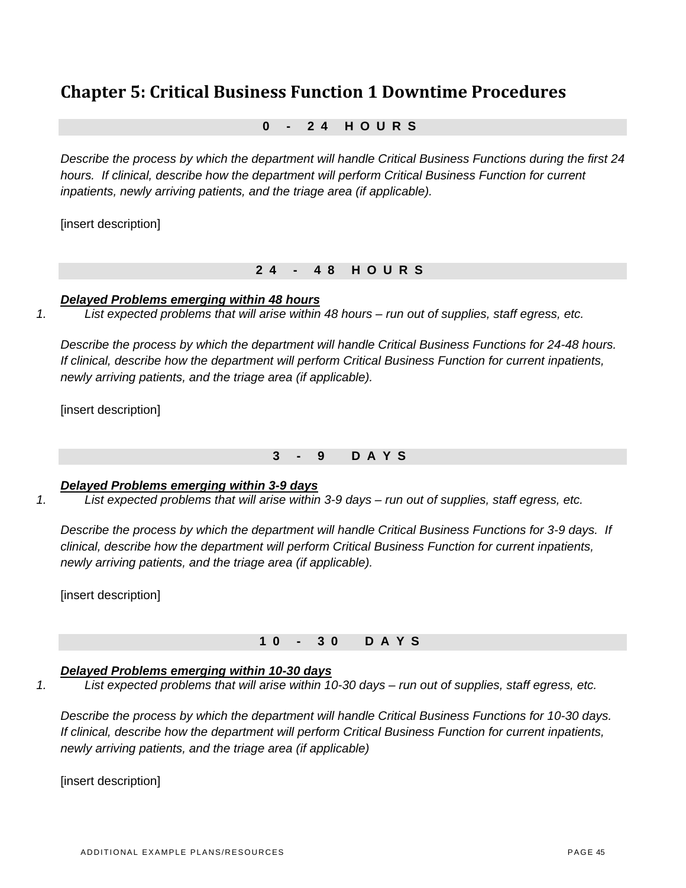# **Chapter 5: Critical Business Function 1 Downtime Procedures**

## **0 - 24 HOURS**

*Describe the process by which the department will handle Critical Business Functions during the first 24 hours. If clinical, describe how the department will perform Critical Business Function for current inpatients, newly arriving patients, and the triage area (if applicable).* 

[insert description]

#### **24 - 48 HOURS**

#### *Delayed Problems emerging within 48 hours*

*1. List expected problems that will arise within 48 hours – run out of supplies, staff egress, etc.* 

*Describe the process by which the department will handle Critical Business Functions for 24-48 hours. If clinical, describe how the department will perform Critical Business Function for current inpatients, newly arriving patients, and the triage area (if applicable).* 

[insert description]

#### **3 - 9 DAYS**

#### *Delayed Problems emerging within 3-9 days*

*1. List expected problems that will arise within 3-9 days – run out of supplies, staff egress, etc.* 

*Describe the process by which the department will handle Critical Business Functions for 3-9 days. If clinical, describe how the department will perform Critical Business Function for current inpatients, newly arriving patients, and the triage area (if applicable).* 

[insert description]

#### **10 - 30 DAYS**

# *Delayed Problems emerging within 10-30 days*

*1. List expected problems that will arise within 10-30 days – run out of supplies, staff egress, etc.* 

*Describe the process by which the department will handle Critical Business Functions for 10-30 days. If clinical, describe how the department will perform Critical Business Function for current inpatients, newly arriving patients, and the triage area (if applicable)*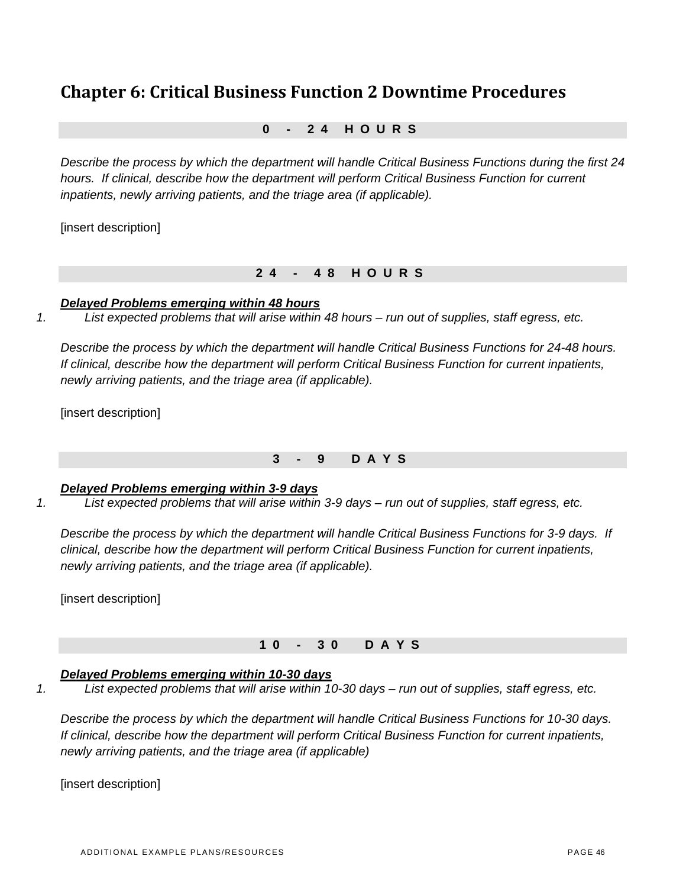# **Chapter 6: Critical Business Function 2 Downtime Procedures**

## **0 - 24 HOURS**

*Describe the process by which the department will handle Critical Business Functions during the first 24 hours. If clinical, describe how the department will perform Critical Business Function for current inpatients, newly arriving patients, and the triage area (if applicable).* 

[insert description]

#### **24 - 48 HOURS**

#### *Delayed Problems emerging within 48 hours*

*1. List expected problems that will arise within 48 hours – run out of supplies, staff egress, etc.* 

*Describe the process by which the department will handle Critical Business Functions for 24-48 hours. If clinical, describe how the department will perform Critical Business Function for current inpatients, newly arriving patients, and the triage area (if applicable).* 

[insert description]

# **3 - 9 DAYS**

#### *Delayed Problems emerging within 3-9 days*

*1. List expected problems that will arise within 3-9 days – run out of supplies, staff egress, etc.* 

*Describe the process by which the department will handle Critical Business Functions for 3-9 days. If clinical, describe how the department will perform Critical Business Function for current inpatients, newly arriving patients, and the triage area (if applicable).* 

[insert description]

# **10 - 30 DAYS**

# *Delayed Problems emerging within 10-30 days*

*1. List expected problems that will arise within 10-30 days – run out of supplies, staff egress, etc.* 

*Describe the process by which the department will handle Critical Business Functions for 10-30 days. If clinical, describe how the department will perform Critical Business Function for current inpatients, newly arriving patients, and the triage area (if applicable)*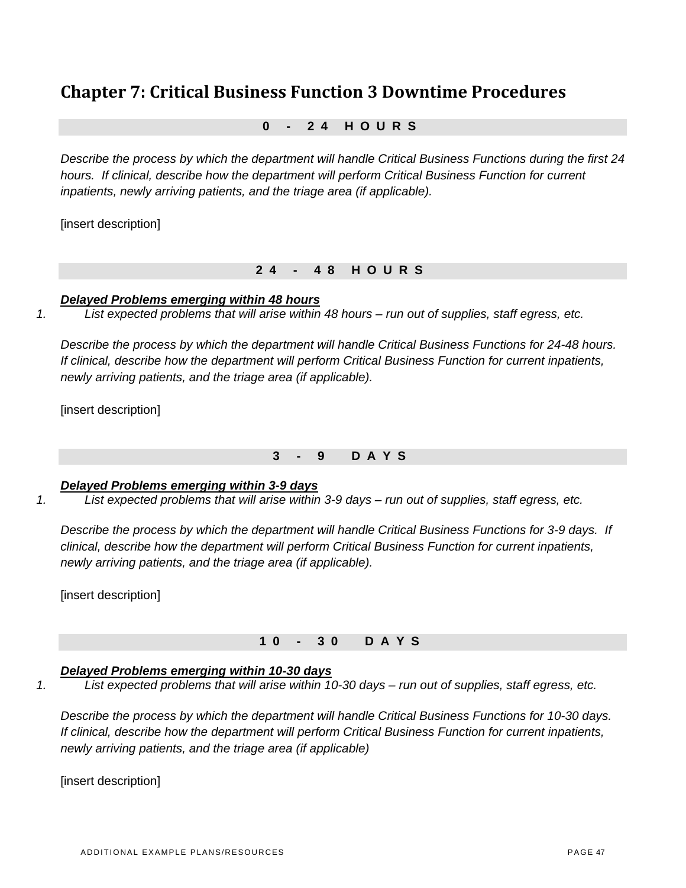# **Chapter 7: Critical Business Function 3 Downtime Procedures**

## **0 - 24 HOURS**

*Describe the process by which the department will handle Critical Business Functions during the first 24 hours. If clinical, describe how the department will perform Critical Business Function for current inpatients, newly arriving patients, and the triage area (if applicable).* 

[insert description]

#### **24 - 48 HOURS**

#### *Delayed Problems emerging within 48 hours*

*1. List expected problems that will arise within 48 hours – run out of supplies, staff egress, etc.* 

*Describe the process by which the department will handle Critical Business Functions for 24-48 hours. If clinical, describe how the department will perform Critical Business Function for current inpatients, newly arriving patients, and the triage area (if applicable).* 

[insert description]

#### **3 - 9 DAYS**

#### *Delayed Problems emerging within 3-9 days*

*1. List expected problems that will arise within 3-9 days – run out of supplies, staff egress, etc.* 

*Describe the process by which the department will handle Critical Business Functions for 3-9 days. If clinical, describe how the department will perform Critical Business Function for current inpatients, newly arriving patients, and the triage area (if applicable).* 

[insert description]

#### **10 - 30 DAYS**

#### *Delayed Problems emerging within 10-30 days*

*1. List expected problems that will arise within 10-30 days – run out of supplies, staff egress, etc.* 

*Describe the process by which the department will handle Critical Business Functions for 10-30 days. If clinical, describe how the department will perform Critical Business Function for current inpatients, newly arriving patients, and the triage area (if applicable)*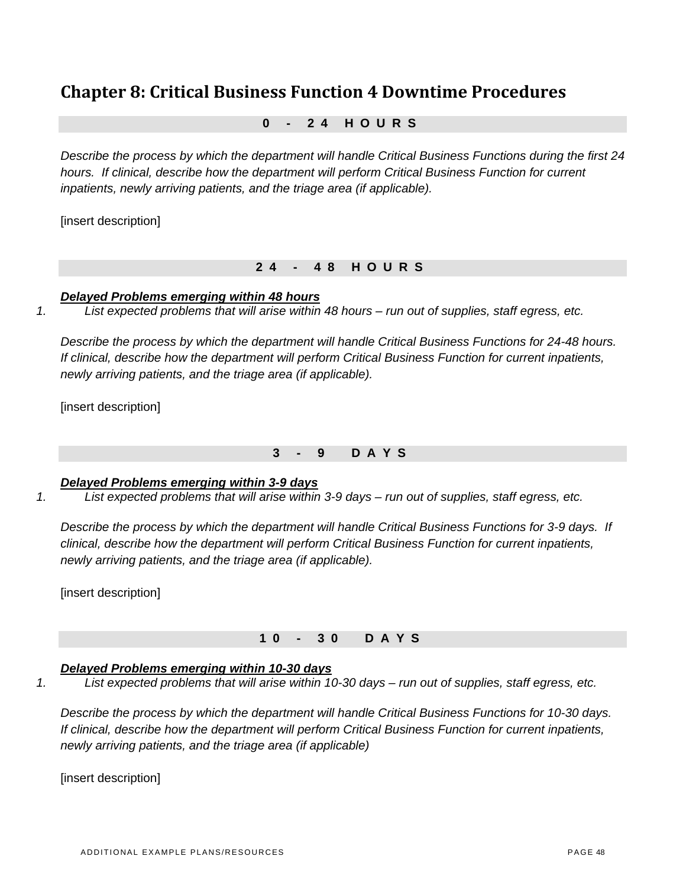# **Chapter 8: Critical Business Function 4 Downtime Procedures**

## **0 - 24 HOURS**

*Describe the process by which the department will handle Critical Business Functions during the first 24 hours. If clinical, describe how the department will perform Critical Business Function for current inpatients, newly arriving patients, and the triage area (if applicable).* 

[insert description]

#### **24 - 48 HOURS**

#### *Delayed Problems emerging within 48 hours*

*1. List expected problems that will arise within 48 hours – run out of supplies, staff egress, etc.* 

*Describe the process by which the department will handle Critical Business Functions for 24-48 hours. If clinical, describe how the department will perform Critical Business Function for current inpatients, newly arriving patients, and the triage area (if applicable).* 

[insert description]

# **3 - 9 DAYS**

#### *Delayed Problems emerging within 3-9 days*

*1. List expected problems that will arise within 3-9 days – run out of supplies, staff egress, etc.* 

*Describe the process by which the department will handle Critical Business Functions for 3-9 days. If clinical, describe how the department will perform Critical Business Function for current inpatients, newly arriving patients, and the triage area (if applicable).* 

[insert description]

# **10 - 30 DAYS**

# *Delayed Problems emerging within 10-30 days*

*1. List expected problems that will arise within 10-30 days – run out of supplies, staff egress, etc.* 

*Describe the process by which the department will handle Critical Business Functions for 10-30 days. If clinical, describe how the department will perform Critical Business Function for current inpatients, newly arriving patients, and the triage area (if applicable)*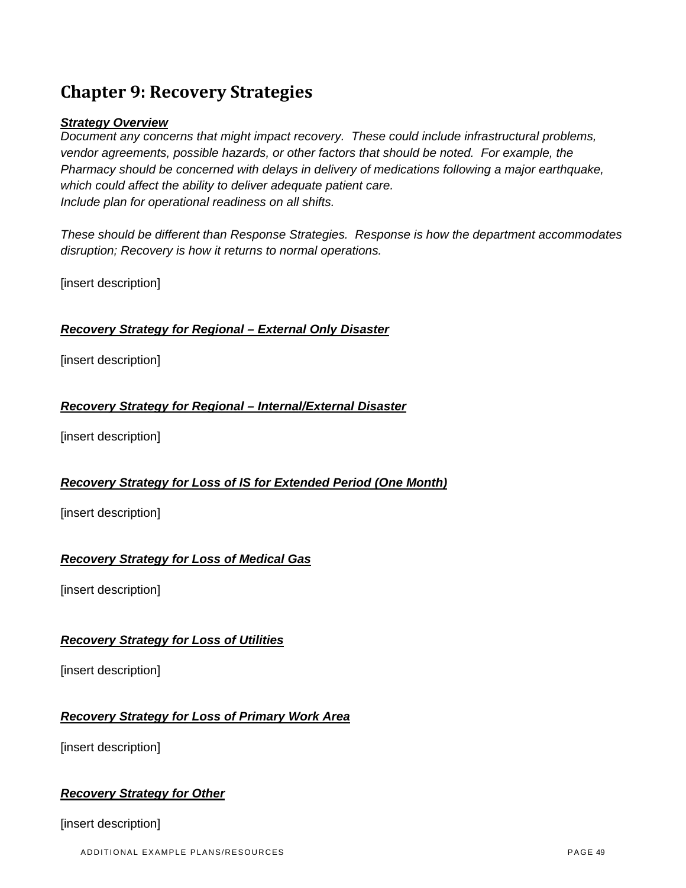# **Chapter 9: Recovery Strategies**

#### *Strategy Overview*

*Document any concerns that might impact recovery. These could include infrastructural problems, vendor agreements, possible hazards, or other factors that should be noted. For example, the Pharmacy should be concerned with delays in delivery of medications following a major earthquake, which could affect the ability to deliver adequate patient care. Include plan for operational readiness on all shifts.* 

*These should be different than Response Strategies. Response is how the department accommodates disruption; Recovery is how it returns to normal operations.* 

[insert description]

## *Recovery Strategy for Regional – External Only Disaster*

[insert description]

#### *Recovery Strategy for Regional – Internal/External Disaster*

[insert description]

#### *Recovery Strategy for Loss of IS for Extended Period (One Month)*

[insert description]

#### *Recovery Strategy for Loss of Medical Gas*

[insert description]

#### *Recovery Strategy for Loss of Utilities*

[insert description]

# *Recovery Strategy for Loss of Primary Work Area*

[insert description]

#### *Recovery Strategy for Other*